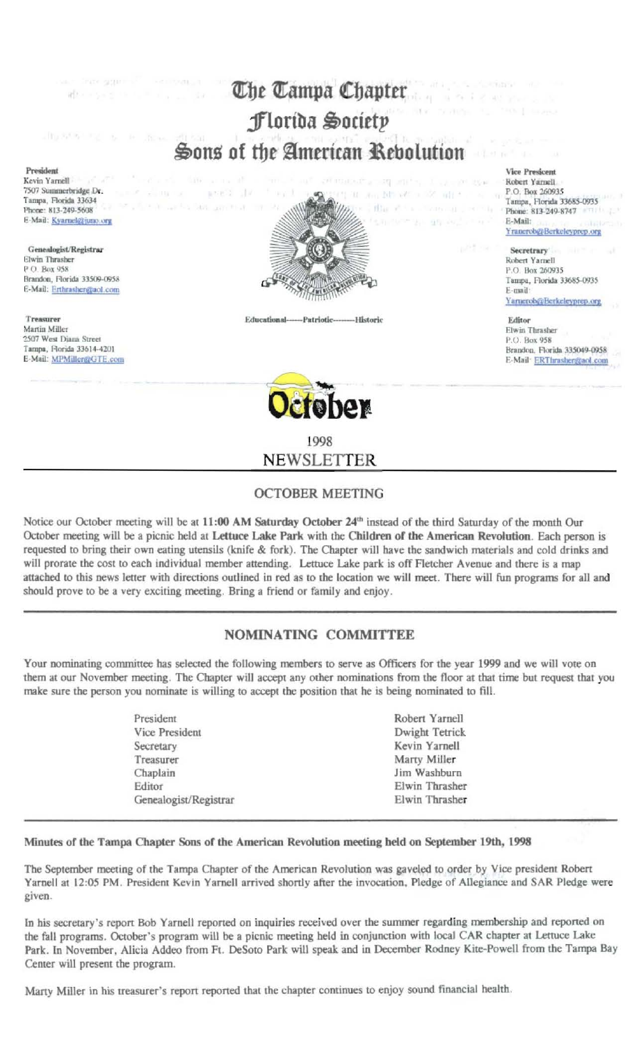# The Tampa Chapter Florida Society Sons of the American Rebolution

#### President

Kevin Yarnell 7507 Summerbridge Dr. Tampa, Florida 33634 Phone: 813-249-5608 E-Mail: Kyarnel@juno.org

PER SOUTH advisors in the

Genealogist/Registrar Elwin Thrasher P.O. Box 958 Brandon, Florida 33509-0958 E-Mail: Erthrashen@aol.com

Treasurer Martin Miller 2507 West Diana Street Tampa, Florida 33614-4201 E-Mail: MPMiller@GTE.com



-Historic Educational-----Patriotic---

October

1998 NEWSLETTER

## **OCTOBER MEETING**

Notice our October meeting will be at 11:00 AM Saturday October 24<sup>th</sup> instead of the third Saturday of the month Our October meeting will be a picnic held at Lettuce Lake Park with the Children of the American Revolution. Each person is requested to bring their own eating utensils (knife  $\&$  fork). The Chapter will have the sandwich materials and cold drinks and will prorate the cost to each individual member attending. Lettuce Lake park is off Fletcher Avenue and there is a map attached to this news letter with directions outlined in red as to the location we will meet. There will fun programs for all and should prove to be a very exciting meeting. Bring a friend or family and enjoy.

## **NOMINATING COMMITTEE**

Your nominating committee has selected the following members to serve as Officers for the year 1999 and we will vote on them at our November meeting. The Chapter will accept any other nominations from the floor at that time but request that you make sure the person you nominate is willing to accept the position that he is being nominated to fill.

| President             | Robert Yarnell |
|-----------------------|----------------|
| Vice President        | Dwight Tetrick |
| Secretary             | Kevin Yarnell  |
| Treasurer             | Marty Miller   |
| Chaplain              | Jim Washburn   |
| Editor                | Elwin Thrasher |
| Genealogist/Registrar | Elwin Thrasher |

### Minutes of the Tampa Chapter Sons of the American Revolution meeting held on September 19th, 1998

The September meeting of the Tampa Chapter of the American Revolution was gaveled to order by Vice president Robert Yarnell at 12:05 PM. President Kevin Yarnell arrived shortly after the invocation, Pledge of Allegiance and SAR Pledge were given.

In his secretary's report Bob Yarnell reported on inquiries received over the summer regarding membership and reported on the fall programs. October's program will be a picnic meeting held in conjunction with local CAR chapter at Lettuce Lake Park. In November, Alicia Addeo from Ft. DeSoto Park will speak and in December Rodney Kite-Powell from the Tampa Bay Center will present the program.

Marty Miller in his treasurer's report reported that the chapter continues to enjoy sound financial health.

**Vice Presicent** Robert Yarnell P.O. Box 260935 Tampa, Florida 33685-0935 Phone: 813-249-8747 E-Mail: Yranerob@Berkeleyprep.org

**DOM** 

 $\overline{\mathcal{M}}$ 

前日 \*

Secretrary Robert Yarnell P.O. Box 260935 Tampa, Florida 33685-0935 F-mail: Yarnerob@Berkeleyprep.org

Editor Elwin Thrasher P.O. Box 958 Brandon, Florida 335049-0958 E-Mail ERThrasher@aol.com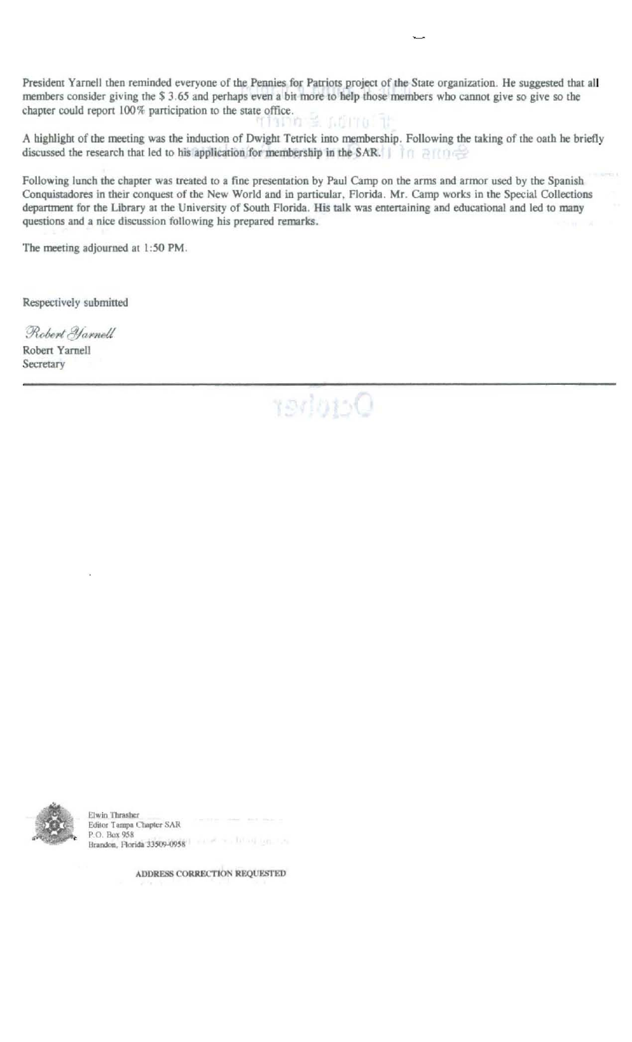President Yarnell then reminded everyone of the Pennies for Patriots project of the State organization. He suggested that all members consider giving the \$3.65 and perhaps even a bit more to help those members who cannot give so give so the chapter could report 100% participation to the state office. nemo tr

A highlight of the meeting was the induction of Dwight Tetrick into membership. Following the taking of the oath he briefly discussed the research that led to his application for membership in the SAR.

Following lunch the chapter was treated to a fine presentation by Paul Camp on the arms and armor used by the Spanish Conquistadores in their conquest of the New World and in particular, Florida. Mr. Camp works in the Special Collections department for the Library at the University of South Florida. His talk was entertaining and educational and led to many questions and a nice discussion following his prepared remarks.

The meeting adjourned at 1:50 PM.

Respectively submitted

Robert Harnell

Robert Yarnell Secretary





Elwin Thrasher<br>Editor Tampa Chapter SAR P.O. Box 958 Brandon, Florida 33509-0958 1 1999 1999 1999 1999 1999 1999

ADDRESS CORRECTION REQUESTED